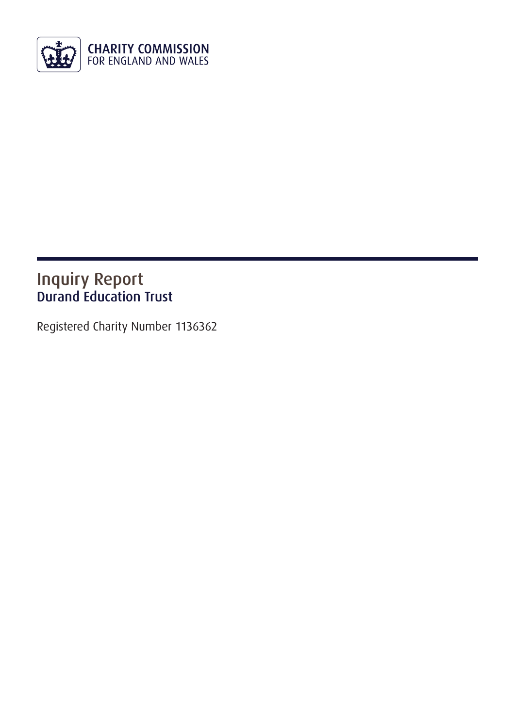

## Inquiry Report Durand Education Trust

Registered Charity Number 1136362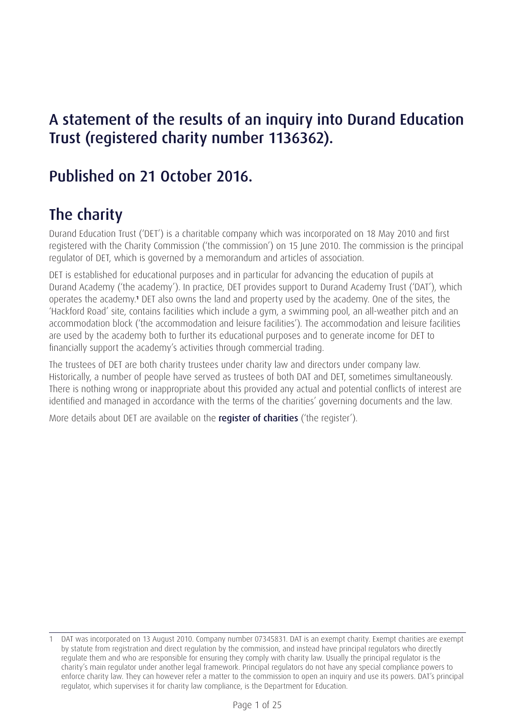## A statement of the results of an inquiry into Durand Education Trust (registered charity number 1136362).

## Published on 21 October 2016.

# The charity

Durand Education Trust ('DET') is a charitable company which was incorporated on 18 May 2010 and first registered with the Charity Commission ('the commission') on 15 June 2010. The commission is the principal regulator of DET, which is governed by a memorandum and articles of association.

DET is established for educational purposes and in particular for advancing the education of pupils at Durand Academy ('the academy'). In practice, DET provides support to Durand Academy Trust ('DAT'), which operates the academy.**<sup>1</sup>** DET also owns the land and property used by the academy. One of the sites, the 'Hackford Road' site, contains facilities which include a gym, a swimming pool, an all-weather pitch and an accommodation block ('the accommodation and leisure facilities'). The accommodation and leisure facilities are used by the academy both to further its educational purposes and to generate income for DET to financially support the academy's activities through commercial trading.

The trustees of DET are both charity trustees under charity law and directors under company law. Historically, a number of people have served as trustees of both DAT and DET, sometimes simultaneously. There is nothing wrong or inappropriate about this provided any actual and potential conflicts of interest are identified and managed in accordance with the terms of the charities' governing documents and the law.

More details about DET are available on the **[register of charities](http://apps.charitycommission.gov.uk/Showcharity/RegisterOfCharities/CharityWithPartB.aspx?RegisteredCharityNumber=1136362&SubsidiaryNumber=0)** ('the register').

<sup>1</sup> DAT was incorporated on 13 August 2010. Company number 07345831. DAT is an exempt charity. Exempt charities are exempt by statute from registration and direct regulation by the commission, and instead have principal regulators who directly regulate them and who are responsible for ensuring they comply with charity law. Usually the principal regulator is the charity's main regulator under another legal framework. Principal regulators do not have any special compliance powers to enforce charity law. They can however refer a matter to the commission to open an inquiry and use its powers. DAT's principal regulator, which supervises it for charity law compliance, is the Department for Education.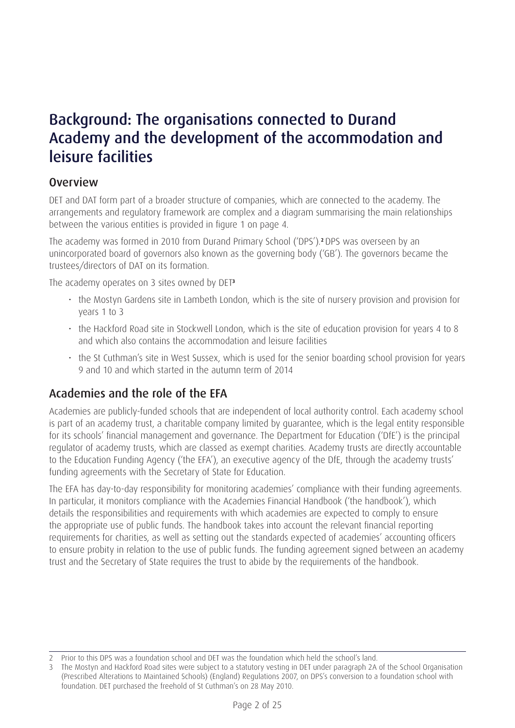## Background: The organisations connected to Durand Academy and the development of the accommodation and leisure facilities

#### Overview

DET and DAT form part of a broader structure of companies, which are connected to the academy. The arrangements and regulatory framework are complex and a diagram summarising the main relationships between the various entities is provided in figure 1 on page 4.

The academy was formed in 2010 from Durand Primary School ('DPS').**<sup>2</sup>** DPS was overseen by an unincorporated board of governors also known as the governing body ('GB'). The governors became the trustees/directors of DAT on its formation.

The academy operates on 3 sites owned by DET**<sup>3</sup>**

- the Mostyn Gardens site in Lambeth London, which is the site of nursery provision and provision for years 1 to 3
- the Hackford Road site in Stockwell London, which is the site of education provision for years 4 to 8 and which also contains the accommodation and leisure facilities
- the St Cuthman's site in West Sussex, which is used for the senior boarding school provision for years 9 and 10 and which started in the autumn term of 2014

## Academies and the role of the EFA

Academies are publicly-funded schools that are independent of local authority control. Each academy school is part of an academy trust, a charitable company limited by guarantee, which is the legal entity responsible for its schools' financial management and governance. The Department for Education ('DfE') is the principal regulator of academy trusts, which are classed as exempt charities. Academy trusts are directly accountable to the Education Funding Agency ('the EFA'), an executive agency of the DfE, through the academy trusts' funding agreements with the Secretary of State for Education.

The EFA has day-to-day responsibility for monitoring academies' compliance with their funding agreements. In particular, it monitors compliance with the Academies Financial Handbook ('the handbook'), which details the responsibilities and requirements with which academies are expected to comply to ensure the appropriate use of public funds. The handbook takes into account the relevant financial reporting requirements for charities, as well as setting out the standards expected of academies' accounting officers to ensure probity in relation to the use of public funds. The funding agreement signed between an academy trust and the Secretary of State requires the trust to abide by the requirements of the handbook.

<sup>2</sup> Prior to this DPS was a foundation school and DET was the foundation which held the school's land.

<sup>3</sup> The Mostyn and Hackford Road sites were subject to a statutory vesting in DET under paragraph 2A of the School Organisation (Prescribed Alterations to Maintained Schools) (England) Regulations 2007, on DPS's conversion to a foundation school with foundation. DET purchased the freehold of St Cuthman's on 28 May 2010.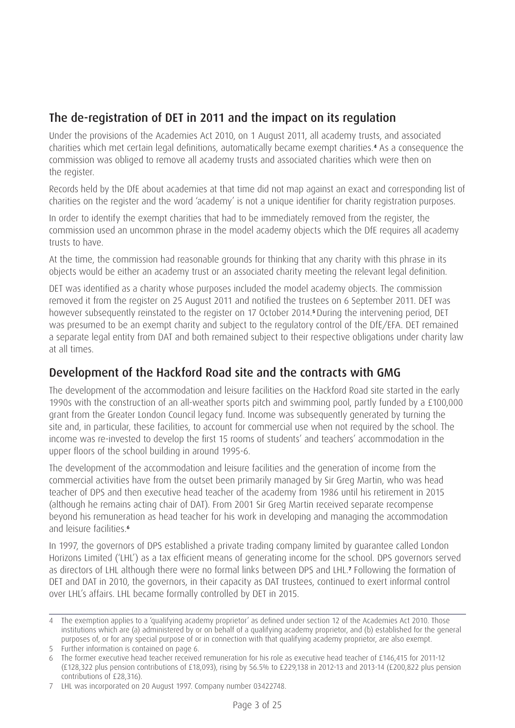## The de-registration of DET in 2011 and the impact on its regulation

Under the provisions of the Academies Act 2010, on 1 August 2011, all academy trusts, and associated charities which met certain legal definitions, automatically became exempt charities.**<sup>4</sup>** As a consequence the commission was obliged to remove all academy trusts and associated charities which were then on the register.

Records held by the DfE about academies at that time did not map against an exact and corresponding list of charities on the register and the word 'academy' is not a unique identifier for charity registration purposes.

In order to identify the exempt charities that had to be immediately removed from the register, the commission used an uncommon phrase in the model academy objects which the DfE requires all academy trusts to have.

At the time, the commission had reasonable grounds for thinking that any charity with this phrase in its objects would be either an academy trust or an associated charity meeting the relevant legal definition.

DET was identified as a charity whose purposes included the model academy objects. The commission removed it from the register on 25 August 2011 and notified the trustees on 6 September 2011. DET was however subsequently reinstated to the register on 17 October 2014.**<sup>5</sup>** During the intervening period, DET was presumed to be an exempt charity and subject to the regulatory control of the DfE/EFA. DET remained a separate legal entity from DAT and both remained subject to their respective obligations under charity law at all times.

## Development of the Hackford Road site and the contracts with GMG

The development of the accommodation and leisure facilities on the Hackford Road site started in the early 1990s with the construction of an all-weather sports pitch and swimming pool, partly funded by a £100,000 grant from the Greater London Council legacy fund. Income was subsequently generated by turning the site and, in particular, these facilities, to account for commercial use when not required by the school. The income was re-invested to develop the first 15 rooms of students' and teachers' accommodation in the upper floors of the school building in around 1995-6.

The development of the accommodation and leisure facilities and the generation of income from the commercial activities have from the outset been primarily managed by Sir Greg Martin, who was head teacher of DPS and then executive head teacher of the academy from 1986 until his retirement in 2015 (although he remains acting chair of DAT). From 2001 Sir Greg Martin received separate recompense beyond his remuneration as head teacher for his work in developing and managing the accommodation and leisure facilities.**<sup>6</sup>**

In 1997, the governors of DPS established a private trading company limited by guarantee called London Horizons Limited ('LHL') as a tax efficient means of generating income for the school. DPS governors served as directors of LHL although there were no formal links between DPS and LHL.**<sup>7</sup>** Following the formation of DET and DAT in 2010, the governors, in their capacity as DAT trustees, continued to exert informal control over LHL's affairs. LHL became formally controlled by DET in 2015.

<sup>4</sup> The exemption applies to a 'qualifying academy proprietor' as defined under section 12 of the Academies Act 2010. Those institutions which are (a) administered by or on behalf of a qualifying academy proprietor, and (b) established for the general purposes of, or for any special purpose of or in connection with that qualifying academy proprietor, are also exempt.

<sup>5</sup> Further information is contained on page 6.

<sup>6</sup> The former executive head teacher received remuneration for his role as executive head teacher of £146,415 for 2011-12 (£128,322 plus pension contributions of £18,093), rising by 56.5% to £229,138 in 2012-13 and 2013-14 (£200,822 plus pension contributions of £28,316).

<sup>7</sup> LHL was incorporated on 20 August 1997. Company number 03422748.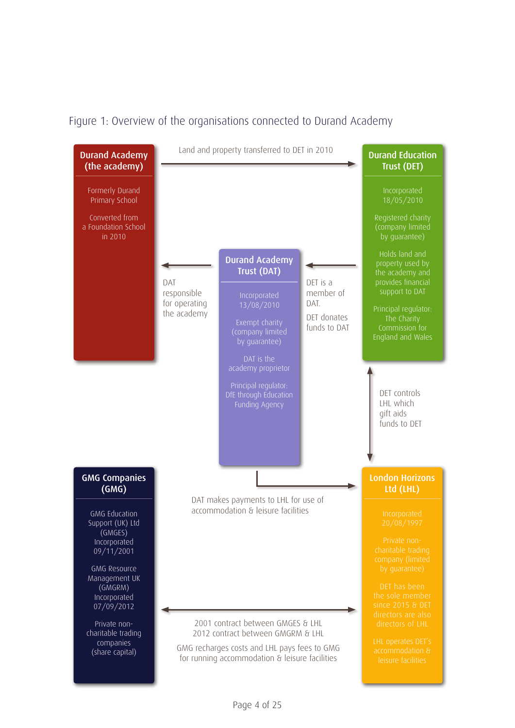#### Figure 1: Overview of the organisations connected to Durand Academy

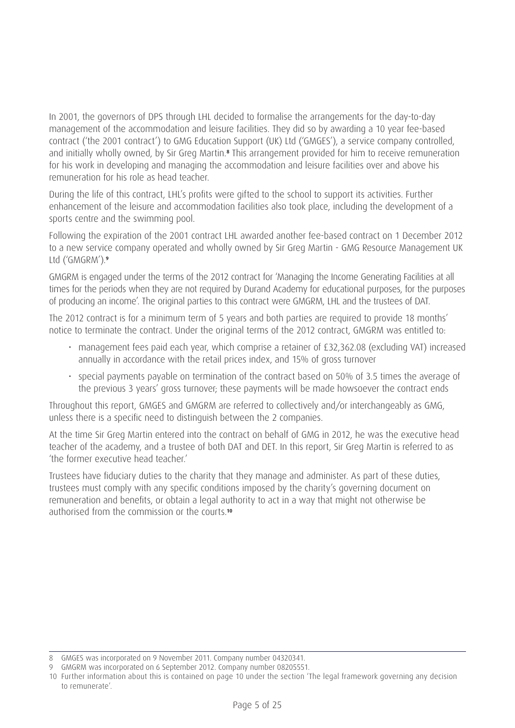In 2001, the governors of DPS through LHL decided to formalise the arrangements for the day-to-day management of the accommodation and leisure facilities. They did so by awarding a 10 year fee-based contract ('the 2001 contract') to GMG Education Support (UK) Ltd ('GMGES'), a service company controlled, and initially wholly owned, by Sir Greg Martin.**<sup>8</sup>** This arrangement provided for him to receive remuneration for his work in developing and managing the accommodation and leisure facilities over and above his remuneration for his role as head teacher.

During the life of this contract, LHL's profits were gifted to the school to support its activities. Further enhancement of the leisure and accommodation facilities also took place, including the development of a sports centre and the swimming pool.

Following the expiration of the 2001 contract LHL awarded another fee-based contract on 1 December 2012 to a new service company operated and wholly owned by Sir Greg Martin - GMG Resource Management UK Ltd ('GMGRM').**<sup>9</sup>**

GMGRM is engaged under the terms of the 2012 contract for 'Managing the Income Generating Facilities at all times for the periods when they are not required by Durand Academy for educational purposes, for the purposes of producing an income'. The original parties to this contract were GMGRM, LHL and the trustees of DAT.

The 2012 contract is for a minimum term of 5 years and both parties are required to provide 18 months' notice to terminate the contract. Under the original terms of the 2012 contract, GMGRM was entitled to:

- management fees paid each year, which comprise a retainer of £32,362.08 (excluding VAT) increased annually in accordance with the retail prices index, and 15% of gross turnover
- special payments payable on termination of the contract based on 50% of 3.5 times the average of the previous 3 years' gross turnover; these payments will be made howsoever the contract ends

Throughout this report, GMGES and GMGRM are referred to collectively and/or interchangeably as GMG, unless there is a specific need to distinguish between the 2 companies.

At the time Sir Greg Martin entered into the contract on behalf of GMG in 2012, he was the executive head teacher of the academy, and a trustee of both DAT and DET. In this report, Sir Greg Martin is referred to as 'the former executive head teacher.'

Trustees have fiduciary duties to the charity that they manage and administer. As part of these duties, trustees must comply with any specific conditions imposed by the charity's governing document on remuneration and benefits, or obtain a legal authority to act in a way that might not otherwise be authorised from the commission or the courts.**<sup>10</sup>**

<sup>8</sup> GMGES was incorporated on 9 November 2011. Company number 04320341.

<sup>9</sup> GMGRM was incorporated on 6 September 2012. Company number 08205551.

<sup>10</sup> Further information about this is contained on page 10 under the section 'The legal framework governing any decision to remunerate'.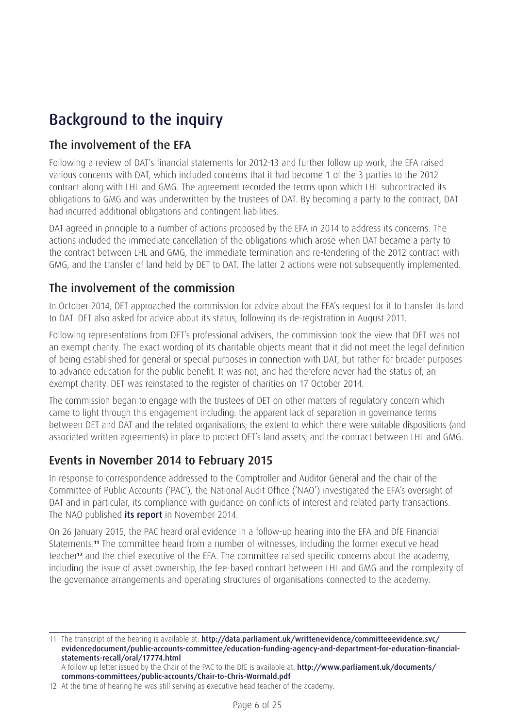# Background to the inquiry

## The involvement of the EFA

Following a review of DAT's financial statements for 2012-13 and further follow up work, the EFA raised various concerns with DAT, which included concerns that it had become 1 of the 3 parties to the 2012 contract along with LHL and GMG. The agreement recorded the terms upon which LHL subcontracted its obligations to GMG and was underwritten by the trustees of DAT. By becoming a party to the contract, DAT had incurred additional obligations and contingent liabilities.

DAT agreed in principle to a number of actions proposed by the EFA in 2014 to address its concerns. The actions included the immediate cancellation of the obligations which arose when DAT became a party to the contract between LHL and GMG, the immediate termination and re-tendering of the 2012 contract with GMG, and the transfer of land held by DET to DAT. The latter 2 actions were not subsequently implemented.

## The involvement of the commission

In October 2014, DET approached the commission for advice about the EFA's request for it to transfer its land to DAT. DET also asked for advice about its status, following its de-registration in August 2011.

Following representations from DET's professional advisers, the commission took the view that DET was not an exempt charity. The exact wording of its charitable objects meant that it did not meet the legal definition of being established for general or special purposes in connection with DAT, but rather for broader purposes to advance education for the public benefit. It was not, and had therefore never had the status of, an exempt charity. DET was reinstated to the register of charities on 17 October 2014.

The commission began to engage with the trustees of DET on other matters of regulatory concern which came to light through this engagement including: the apparent lack of separation in governance terms between DET and DAT and the related organisations; the extent to which there were suitable dispositions (and associated written agreements) in place to protect DET's land assets; and the contract between LHL and GMG.

## Events in November 2014 to February 2015

In response to correspondence addressed to the Comptroller and Auditor General and the chair of the Committee of Public Accounts ('PAC'), the National Audit Office ('NAO') investigated the EFA's oversight of DAT and in particular, its compliance with guidance on conflicts of interest and related party transactions. The NAO published [its report](https://www.nao.org.uk/report/investigation-into-the-education-funding-agencys-oversight-of-related-party-transactions-%20at-durand-academy/) in November 2014.

On 26 January 2015, the PAC heard oral evidence in a follow-up hearing into the EFA and DfE Financial Statements.**11** The committee heard from a number of witnesses, including the former executive head teacher**12** and the chief executive of the EFA. The committee raised specific concerns about the academy, including the issue of asset ownership, the fee-based contract between LHL and GMG and the complexity of the governance arrangements and operating structures of organisations connected to the academy.

<sup>11</sup> The transcript of the hearing is available at: [http://data.parliament.uk/writtenevidence/committeeevidence.svc/](http://data.parliament.uk/writtenevidence/committeeevidence.svc/evidencedocument/public-accounts-committee/education-funding-agency-and-department-for-education-financial-statements-recall/oral/17774.html) [evidencedocument/public-accounts-committee/education-funding-agency-and-department-for-education-financial](http://data.parliament.uk/writtenevidence/committeeevidence.svc/evidencedocument/public-accounts-committee/education-funding-agency-and-department-for-education-financial-statements-recall/oral/17774.html)[statements-recall/oral/17774.html](http://data.parliament.uk/writtenevidence/committeeevidence.svc/evidencedocument/public-accounts-committee/education-funding-agency-and-department-for-education-financial-statements-recall/oral/17774.html)

A follow up letter issued by the Chair of the PAC to the DfE is available at: [http://www.parliament.uk/documents/](http://www.parliament.uk/documents/commons-committees/public-accounts/Chair-to-Chris-Wormald.pdf) [commons-committees/public-accounts/Chair-to-Chris-Wormald.pdf](http://www.parliament.uk/documents/commons-committees/public-accounts/Chair-to-Chris-Wormald.pdf)

<sup>12</sup> At the time of hearing he was still serving as executive head teacher of the academy.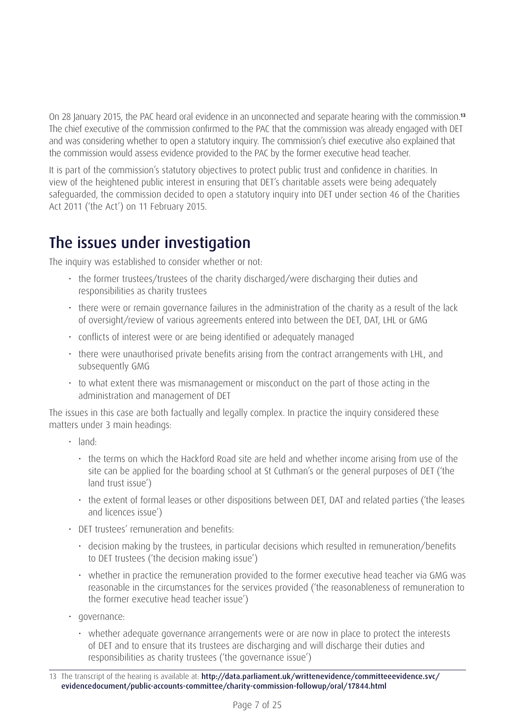On 28 January 2015, the PAC heard oral evidence in an unconnected and separate hearing with the commission.**<sup>13</sup>** The chief executive of the commission confirmed to the PAC that the commission was already engaged with DET and was considering whether to open a statutory inquiry. The commission's chief executive also explained that the commission would assess evidence provided to the PAC by the former executive head teacher.

It is part of the commission's statutory objectives to protect public trust and confidence in charities. In view of the heightened public interest in ensuring that DET's charitable assets were being adequately safeguarded, the commission decided to open a statutory inquiry into DET under section 46 of the Charities Act 2011 ('the Act') on 11 February 2015.

## The issues under investigation

The inquiry was established to consider whether or not:

- the former trustees/trustees of the charity discharged/were discharging their duties and responsibilities as charity trustees
- there were or remain governance failures in the administration of the charity as a result of the lack of oversight/review of various agreements entered into between the DET, DAT, LHL or GMG
- conflicts of interest were or are being identified or adequately managed
- there were unauthorised private benefits arising from the contract arrangements with LHL, and subsequently GMG
- to what extent there was mismanagement or misconduct on the part of those acting in the administration and management of DET

The issues in this case are both factually and legally complex. In practice the inquiry considered these matters under 3 main headings:

- land:
	- the terms on which the Hackford Road site are held and whether income arising from use of the site can be applied for the boarding school at St Cuthman's or the general purposes of DET ('the land trust issue')
	- the extent of formal leases or other dispositions between DET, DAT and related parties ('the leases and licences issue')
- DET trustees' remuneration and benefits:
	- decision making by the trustees, in particular decisions which resulted in remuneration/benefits to DET trustees ('the decision making issue')
	- whether in practice the remuneration provided to the former executive head teacher via GMG was reasonable in the circumstances for the services provided ('the reasonableness of remuneration to the former executive head teacher issue')
- governance:
	- whether adequate governance arrangements were or are now in place to protect the interests of DET and to ensure that its trustees are discharging and will discharge their duties and responsibilities as charity trustees ('the governance issue')

<sup>13</sup> The transcript of the hearing is available at: [http://data.parliament.uk/writtenevidence/committeeevidence.svc/](http://data.parliament.uk/writtenevidence/committeeevidence.svc/evidencedocument/public-accounts-committee/charity-commission-followup/oral/17844.html) [evidencedocument/public-accounts-committee/charity-commission-followup/oral/17844.html](http://data.parliament.uk/writtenevidence/committeeevidence.svc/evidencedocument/public-accounts-committee/charity-commission-followup/oral/17844.html)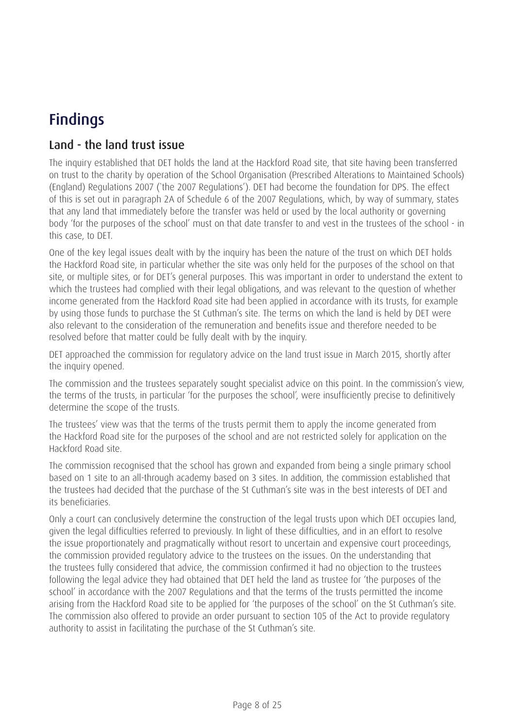# Findings

## Land - the land trust issue

The inquiry established that DET holds the land at the Hackford Road site, that site having been transferred on trust to the charity by operation of the School Organisation (Prescribed Alterations to Maintained Schools) (England) Regulations 2007 (`the 2007 Regulations'). DET had become the foundation for DPS. The effect of this is set out in paragraph 2A of Schedule 6 of the 2007 Regulations, which, by way of summary, states that any land that immediately before the transfer was held or used by the local authority or governing body 'for the purposes of the school' must on that date transfer to and vest in the trustees of the school - in this case, to DET.

One of the key legal issues dealt with by the inquiry has been the nature of the trust on which DET holds the Hackford Road site, in particular whether the site was only held for the purposes of the school on that site, or multiple sites, or for DET's general purposes. This was important in order to understand the extent to which the trustees had complied with their legal obligations, and was relevant to the question of whether income generated from the Hackford Road site had been applied in accordance with its trusts, for example by using those funds to purchase the St Cuthman's site. The terms on which the land is held by DET were also relevant to the consideration of the remuneration and benefits issue and therefore needed to be resolved before that matter could be fully dealt with by the inquiry.

DET approached the commission for regulatory advice on the land trust issue in March 2015, shortly after the inquiry opened.

The commission and the trustees separately sought specialist advice on this point. In the commission's view, the terms of the trusts, in particular 'for the purposes the school', were insufficiently precise to definitively determine the scope of the trusts.

The trustees' view was that the terms of the trusts permit them to apply the income generated from the Hackford Road site for the purposes of the school and are not restricted solely for application on the Hackford Road site.

The commission recognised that the school has grown and expanded from being a single primary school based on 1 site to an all-through academy based on 3 sites. In addition, the commission established that the trustees had decided that the purchase of the St Cuthman's site was in the best interests of DET and its beneficiaries.

Only a court can conclusively determine the construction of the legal trusts upon which DET occupies land, given the legal difficulties referred to previously. In light of these difficulties, and in an effort to resolve the issue proportionately and pragmatically without resort to uncertain and expensive court proceedings, the commission provided regulatory advice to the trustees on the issues. On the understanding that the trustees fully considered that advice, the commission confirmed it had no objection to the trustees following the legal advice they had obtained that DET held the land as trustee for 'the purposes of the school' in accordance with the 2007 Regulations and that the terms of the trusts permitted the income arising from the Hackford Road site to be applied for 'the purposes of the school' on the St Cuthman's site. The commission also offered to provide an order pursuant to section 105 of the Act to provide regulatory authority to assist in facilitating the purchase of the St Cuthman's site.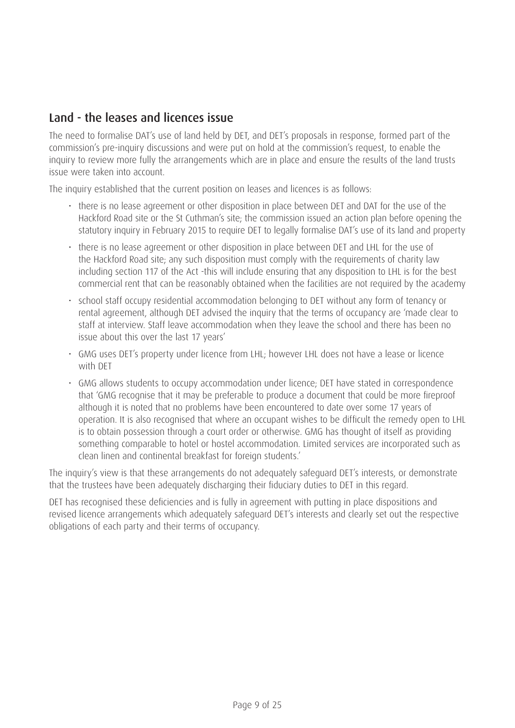## Land - the leases and licences issue

The need to formalise DAT's use of land held by DET, and DET's proposals in response, formed part of the commission's pre-inquiry discussions and were put on hold at the commission's request, to enable the inquiry to review more fully the arrangements which are in place and ensure the results of the land trusts issue were taken into account.

The inquiry established that the current position on leases and licences is as follows:

- there is no lease agreement or other disposition in place between DET and DAT for the use of the Hackford Road site or the St Cuthman's site; the commission issued an action plan before opening the statutory inquiry in February 2015 to require DET to legally formalise DAT's use of its land and property
- there is no lease agreement or other disposition in place between DET and LHL for the use of the Hackford Road site; any such disposition must comply with the requirements of charity law including section 117 of the Act -this will include ensuring that any disposition to LHL is for the best commercial rent that can be reasonably obtained when the facilities are not required by the academy
- school staff occupy residential accommodation belonging to DET without any form of tenancy or rental agreement, although DET advised the inquiry that the terms of occupancy are 'made clear to staff at interview. Staff leave accommodation when they leave the school and there has been no issue about this over the last 17 years'
- GMG uses DET's property under licence from LHL; however LHL does not have a lease or licence with DET
- GMG allows students to occupy accommodation under licence; DET have stated in correspondence that 'GMG recognise that it may be preferable to produce a document that could be more fireproof although it is noted that no problems have been encountered to date over some 17 years of operation. It is also recognised that where an occupant wishes to be difficult the remedy open to LHL is to obtain possession through a court order or otherwise. GMG has thought of itself as providing something comparable to hotel or hostel accommodation. Limited services are incorporated such as clean linen and continental breakfast for foreign students.'

The inquiry's view is that these arrangements do not adequately safeguard DET's interests, or demonstrate that the trustees have been adequately discharging their fiduciary duties to DET in this regard.

DET has recognised these deficiencies and is fully in agreement with putting in place dispositions and revised licence arrangements which adequately safeguard DET's interests and clearly set out the respective obligations of each party and their terms of occupancy.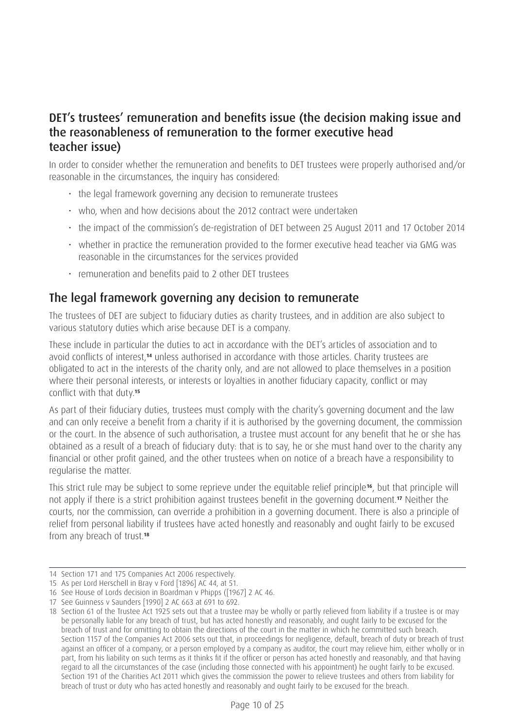### DET's trustees' remuneration and benefits issue (the decision making issue and the reasonableness of remuneration to the former executive head teacher issue)

In order to consider whether the remuneration and benefits to DET trustees were properly authorised and/or reasonable in the circumstances, the inquiry has considered:

- the legal framework governing any decision to remunerate trustees
- who, when and how decisions about the 2012 contract were undertaken
- the impact of the commission's de-registration of DET between 25 August 2011 and 17 October 2014
- whether in practice the remuneration provided to the former executive head teacher via GMG was reasonable in the circumstances for the services provided
- remuneration and benefits paid to 2 other DET trustees

### The legal framework governing any decision to remunerate

The trustees of DET are subject to fiduciary duties as charity trustees, and in addition are also subject to various statutory duties which arise because DET is a company.

These include in particular the duties to act in accordance with the DET's articles of association and to avoid conflicts of interest,**14** unless authorised in accordance with those articles. Charity trustees are obligated to act in the interests of the charity only, and are not allowed to place themselves in a position where their personal interests, or interests or loyalties in another fiduciary capacity, conflict or may conflict with that duty.**<sup>15</sup>**

As part of their fiduciary duties, trustees must comply with the charity's governing document and the law and can only receive a benefit from a charity if it is authorised by the governing document, the commission or the court. In the absence of such authorisation, a trustee must account for any benefit that he or she has obtained as a result of a breach of fiduciary duty: that is to say, he or she must hand over to the charity any financial or other profit gained, and the other trustees when on notice of a breach have a responsibility to regularise the matter.

This strict rule may be subject to some reprieve under the equitable relief principle**16**, but that principle will not apply if there is a strict prohibition against trustees benefit in the governing document.**17** Neither the courts, nor the commission, can override a prohibition in a governing document. There is also a principle of relief from personal liability if trustees have acted honestly and reasonably and ought fairly to be excused from any breach of trust.**<sup>18</sup>**

<sup>14</sup> Section 171 and 175 Companies Act 2006 respectively.

<sup>15</sup> As per Lord Herschell in Bray v Ford [1896] AC 44, at 51.

<sup>16</sup> See House of Lords decision in Boardman v Phipps ([1967] 2 AC 46.

<sup>17</sup> See Guinness v Saunders [1990] 2 AC 663 at 691 to 692.

<sup>18</sup> Section 61 of the Trustee Act 1925 sets out that a trustee may be wholly or partly relieved from liability if a trustee is or may be personally liable for any breach of trust, but has acted honestly and reasonably, and ought fairly to be excused for the breach of trust and for omitting to obtain the directions of the court in the matter in which he committed such breach. Section 1157 of the Companies Act 2006 sets out that, in proceedings for negligence, default, breach of duty or breach of trust against an officer of a company, or a person employed by a company as auditor, the court may relieve him, either wholly or in part, from his liability on such terms as it thinks fit if the officer or person has acted honestly and reasonably, and that having regard to all the circumstances of the case (including those connected with his appointment) he ought fairly to be excused. Section 191 of the Charities Act 2011 which gives the commission the power to relieve trustees and others from liability for breach of trust or duty who has acted honestly and reasonably and ought fairly to be excused for the breach.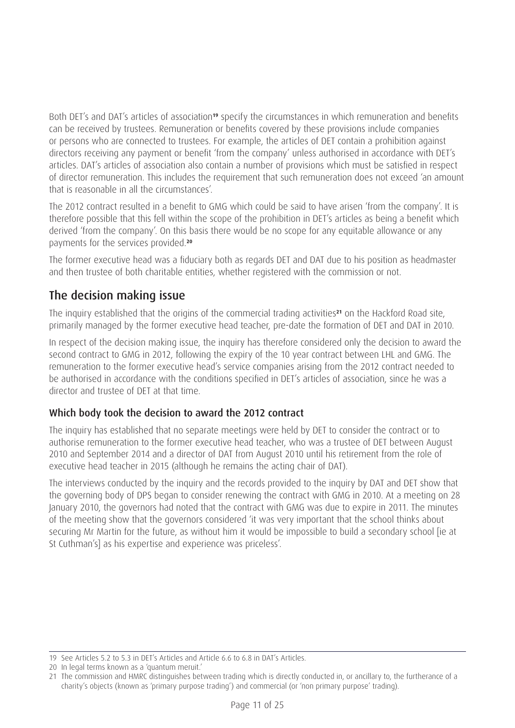Both DET's and DAT's articles of association**19** specify the circumstances in which remuneration and benefits can be received by trustees. Remuneration or benefits covered by these provisions include companies or persons who are connected to trustees. For example, the articles of DET contain a prohibition against directors receiving any payment or benefit 'from the company' unless authorised in accordance with DET's articles. DAT's articles of association also contain a number of provisions which must be satisfied in respect of director remuneration. This includes the requirement that such remuneration does not exceed 'an amount that is reasonable in all the circumstances'.

The 2012 contract resulted in a benefit to GMG which could be said to have arisen 'from the company'. It is therefore possible that this fell within the scope of the prohibition in DET's articles as being a benefit which derived 'from the company'. On this basis there would be no scope for any equitable allowance or any payments for the services provided.**<sup>20</sup>**

The former executive head was a fiduciary both as regards DET and DAT due to his position as headmaster and then trustee of both charitable entities, whether registered with the commission or not.

## The decision making issue

The inquiry established that the origins of the commercial trading activities**21** on the Hackford Road site, primarily managed by the former executive head teacher, pre-date the formation of DET and DAT in 2010.

In respect of the decision making issue, the inquiry has therefore considered only the decision to award the second contract to GMG in 2012, following the expiry of the 10 year contract between LHL and GMG. The remuneration to the former executive head's service companies arising from the 2012 contract needed to be authorised in accordance with the conditions specified in DET's articles of association, since he was a director and trustee of DET at that time.

#### Which body took the decision to award the 2012 contract

The inquiry has established that no separate meetings were held by DET to consider the contract or to authorise remuneration to the former executive head teacher, who was a trustee of DET between August 2010 and September 2014 and a director of DAT from August 2010 until his retirement from the role of executive head teacher in 2015 (although he remains the acting chair of DAT).

The interviews conducted by the inquiry and the records provided to the inquiry by DAT and DET show that the governing body of DPS began to consider renewing the contract with GMG in 2010. At a meeting on 28 January 2010, the governors had noted that the contract with GMG was due to expire in 2011. The minutes of the meeting show that the governors considered 'it was very important that the school thinks about securing Mr Martin for the future, as without him it would be impossible to build a secondary school [ie at St Cuthman's] as his expertise and experience was priceless'.

<sup>19</sup> See Articles 5.2 to 5.3 in DET's Articles and Article 6.6 to 6.8 in DAT's Articles.

<sup>20</sup> In legal terms known as a 'quantum meruit.'

<sup>21</sup> The commission and HMRC distinguishes between trading which is directly conducted in, or ancillary to, the furtherance of a charity's objects (known as 'primary purpose trading') and commercial (or 'non primary purpose' trading).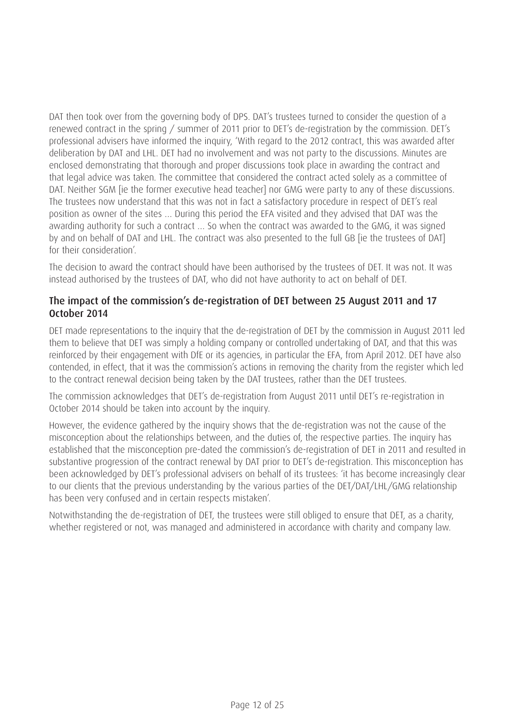DAT then took over from the governing body of DPS. DAT's trustees turned to consider the question of a renewed contract in the spring / summer of 2011 prior to DET's de-registration by the commission. DET's professional advisers have informed the inquiry, 'With regard to the 2012 contract, this was awarded after deliberation by DAT and LHL. DET had no involvement and was not party to the discussions. Minutes are enclosed demonstrating that thorough and proper discussions took place in awarding the contract and that legal advice was taken. The committee that considered the contract acted solely as a committee of DAT. Neither SGM lie the former executive head teacher) nor GMG were party to any of these discussions. The trustees now understand that this was not in fact a satisfactory procedure in respect of DET's real position as owner of the sites … During this period the EFA visited and they advised that DAT was the awarding authority for such a contract … So when the contract was awarded to the GMG, it was signed by and on behalf of DAT and LHL. The contract was also presented to the full GB [ie the trustees of DAT] for their consideration'.

The decision to award the contract should have been authorised by the trustees of DET. It was not. It was instead authorised by the trustees of DAT, who did not have authority to act on behalf of DET.

#### The impact of the commission's de-registration of DET between 25 August 2011 and 17 October 2014

DET made representations to the inquiry that the de-registration of DET by the commission in August 2011 led them to believe that DET was simply a holding company or controlled undertaking of DAT, and that this was reinforced by their engagement with DfE or its agencies, in particular the EFA, from April 2012. DET have also contended, in effect, that it was the commission's actions in removing the charity from the register which led to the contract renewal decision being taken by the DAT trustees, rather than the DET trustees.

The commission acknowledges that DET's de-registration from August 2011 until DET's re-registration in October 2014 should be taken into account by the inquiry.

However, the evidence gathered by the inquiry shows that the de-registration was not the cause of the misconception about the relationships between, and the duties of, the respective parties. The inquiry has established that the misconception pre-dated the commission's de-registration of DET in 2011 and resulted in substantive progression of the contract renewal by DAT prior to DET's de-registration. This misconception has been acknowledged by DET's professional advisers on behalf of its trustees: 'it has become increasingly clear to our clients that the previous understanding by the various parties of the DET/DAT/LHL/GMG relationship has been very confused and in certain respects mistaken'.

Notwithstanding the de-registration of DET, the trustees were still obliged to ensure that DET, as a charity, whether registered or not, was managed and administered in accordance with charity and company law.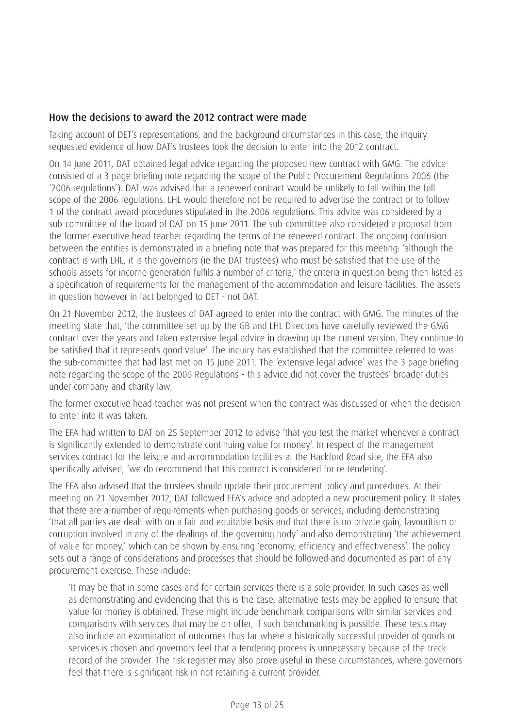#### How the decisions to award the 2012 contract were made

Taking account of DET's representations, and the background circumstances in this case, the inquiry requested evidence of how DAT's trustees took the decision to enter into the 2012 contract.

On 14 June 2011, DAT obtained legal advice regarding the proposed new contract with GMG. The advice consisted of a 3 page briefing note regarding the scope of the Public Procurement Regulations 2006 (the '2006 regulations'). DAT was advised that a renewed contract would be unlikely to fall within the full scope of the 2006 regulations. LHL would therefore not be required to advertise the contract or to follow 1 of the contract award procedures stipulated in the 2006 regulations. This advice was considered by a sub-committee of the board of DAT on 15 June 2011. The sub-committee also considered a proposal from the former executive head teacher regarding the terms of the renewed contract. The ongoing confusion between the entities is demonstrated in a briefing note that was prepared for this meeting: 'although the contract is with LHL, it is the governors (ie the DAT trustees) who must be satisfied that the use of the schools assets for income generation fulfils a number of criteria,' the criteria in question being then listed as a specification of requirements for the management of the accommodation and leisure facilities. The assets in question however in fact belonged to DET - not DAT.

On 21 November 2012, the trustees of DAT agreed to enter into the contract with GMG. The minutes of the meeting state that, 'the committee set up by the GB and LHL Directors have carefully reviewed the GMG contract over the years and taken extensive legal advice in drawing up the current version. They continue to be satisfied that it represents good value'. The inquiry has established that the committee referred to was the sub-committee that had last met on 15 June 2011. The 'extensive legal advice' was the 3 page briefing note regarding the scope of the 2006 Regulations - this advice did not cover the trustees' broader duties under company and charity law.

The former executive head teacher was not present when the contract was discussed or when the decision to enter into it was taken.

The EFA had written to DAT on 25 September 2012 to advise 'that you test the market whenever a contract is significantly extended to demonstrate continuing value for money'. In respect of the management services contract for the leisure and accommodation facilities at the Hackford Road site, the EFA also specifically advised, 'we do recommend that this contract is considered for re-tendering'.

The EFA also advised that the trustees should update their procurement policy and procedures. At their meeting on 21 November 2012, DAT followed EFA's advice and adopted a new procurement policy. It states that there are a number of requirements when purchasing goods or services, including demonstrating 'that all parties are dealt with on a fair and equitable basis and that there is no private gain, favouritism or corruption involved in any of the dealings of the governing body' and also demonstrating 'the achievement of value for money,' which can be shown by ensuring 'economy, efficiency and effectiveness'. The policy sets out a range of considerations and processes that should be followed and documented as part of any procurement exercise. These include:

'It may be that in some cases and for certain services there is a sole provider. In such cases as well as demonstrating and evidencing that this is the case, alternative tests may be applied to ensure that value for money is obtained. These might include benchmark comparisons with similar services and comparisons with services that may be on offer, if such benchmarking is possible. These tests may also include an examination of outcomes thus far where a historically successful provider of goods or services is chosen and governors feel that a tendering process is unnecessary because of the track record of the provider. The risk register may also prove useful in these circumstances, where governors feel that there is significant risk in not retaining a current provider.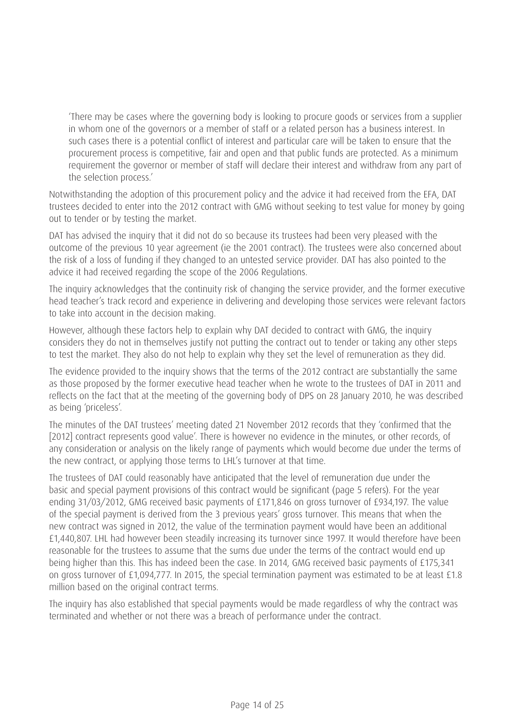'There may be cases where the governing body is looking to procure goods or services from a supplier in whom one of the governors or a member of staff or a related person has a business interest. In such cases there is a potential conflict of interest and particular care will be taken to ensure that the procurement process is competitive, fair and open and that public funds are protected. As a minimum requirement the governor or member of staff will declare their interest and withdraw from any part of the selection process.'

Notwithstanding the adoption of this procurement policy and the advice it had received from the EFA, DAT trustees decided to enter into the 2012 contract with GMG without seeking to test value for money by going out to tender or by testing the market.

DAT has advised the inquiry that it did not do so because its trustees had been very pleased with the outcome of the previous 10 year agreement (ie the 2001 contract). The trustees were also concerned about the risk of a loss of funding if they changed to an untested service provider. DAT has also pointed to the advice it had received regarding the scope of the 2006 Regulations.

The inquiry acknowledges that the continuity risk of changing the service provider, and the former executive head teacher's track record and experience in delivering and developing those services were relevant factors to take into account in the decision making.

However, although these factors help to explain why DAT decided to contract with GMG, the inquiry considers they do not in themselves justify not putting the contract out to tender or taking any other steps to test the market. They also do not help to explain why they set the level of remuneration as they did.

The evidence provided to the inquiry shows that the terms of the 2012 contract are substantially the same as those proposed by the former executive head teacher when he wrote to the trustees of DAT in 2011 and reflects on the fact that at the meeting of the governing body of DPS on 28 January 2010, he was described as being 'priceless'.

The minutes of the DAT trustees' meeting dated 21 November 2012 records that they 'confirmed that the [2012] contract represents good value'. There is however no evidence in the minutes, or other records, of any consideration or analysis on the likely range of payments which would become due under the terms of the new contract, or applying those terms to LHL's turnover at that time.

The trustees of DAT could reasonably have anticipated that the level of remuneration due under the basic and special payment provisions of this contract would be significant (page 5 refers). For the year ending 31/03/2012, GMG received basic payments of £171,846 on gross turnover of £934,197. The value of the special payment is derived from the 3 previous years' gross turnover. This means that when the new contract was signed in 2012, the value of the termination payment would have been an additional £1,440,807. LHL had however been steadily increasing its turnover since 1997. It would therefore have been reasonable for the trustees to assume that the sums due under the terms of the contract would end up being higher than this. This has indeed been the case. In 2014, GMG received basic payments of £175,341 on gross turnover of £1,094,777. In 2015, the special termination payment was estimated to be at least £1.8 million based on the original contract terms.

The inquiry has also established that special payments would be made regardless of why the contract was terminated and whether or not there was a breach of performance under the contract.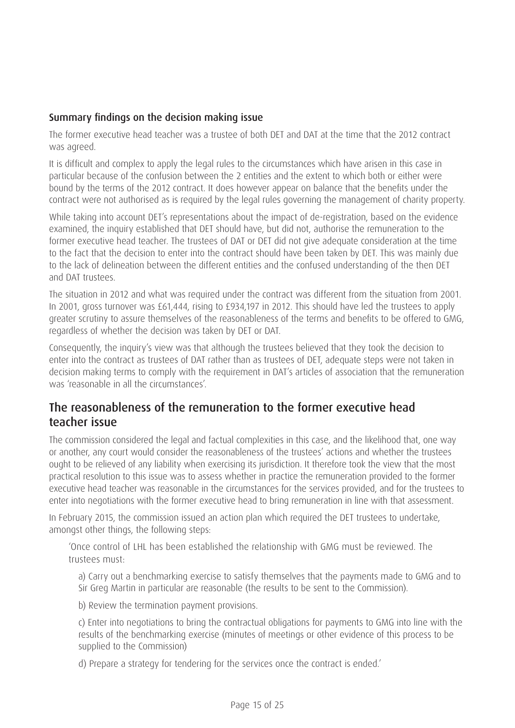#### Summary findings on the decision making issue

The former executive head teacher was a trustee of both DET and DAT at the time that the 2012 contract was agreed.

It is difficult and complex to apply the legal rules to the circumstances which have arisen in this case in particular because of the confusion between the 2 entities and the extent to which both or either were bound by the terms of the 2012 contract. It does however appear on balance that the benefits under the contract were not authorised as is required by the legal rules governing the management of charity property.

While taking into account DET's representations about the impact of de-registration, based on the evidence examined, the inquiry established that DET should have, but did not, authorise the remuneration to the former executive head teacher. The trustees of DAT or DET did not give adequate consideration at the time to the fact that the decision to enter into the contract should have been taken by DET. This was mainly due to the lack of delineation between the different entities and the confused understanding of the then DET and DAT trustees.

The situation in 2012 and what was required under the contract was different from the situation from 2001. In 2001, gross turnover was £61,444, rising to £934,197 in 2012. This should have led the trustees to apply greater scrutiny to assure themselves of the reasonableness of the terms and benefits to be offered to GMG, regardless of whether the decision was taken by DET or DAT.

Consequently, the inquiry's view was that although the trustees believed that they took the decision to enter into the contract as trustees of DAT rather than as trustees of DET, adequate steps were not taken in decision making terms to comply with the requirement in DAT's articles of association that the remuneration was 'reasonable in all the circumstances'.

### The reasonableness of the remuneration to the former executive head teacher issue

The commission considered the legal and factual complexities in this case, and the likelihood that, one way or another, any court would consider the reasonableness of the trustees' actions and whether the trustees ought to be relieved of any liability when exercising its jurisdiction. It therefore took the view that the most practical resolution to this issue was to assess whether in practice the remuneration provided to the former executive head teacher was reasonable in the circumstances for the services provided, and for the trustees to enter into negotiations with the former executive head to bring remuneration in line with that assessment.

In February 2015, the commission issued an action plan which required the DET trustees to undertake, amongst other things, the following steps:

'Once control of LHL has been established the relationship with GMG must be reviewed. The trustees must:

a) Carry out a benchmarking exercise to satisfy themselves that the payments made to GMG and to Sir Greg Martin in particular are reasonable (the results to be sent to the Commission).

b) Review the termination payment provisions.

c) Enter into negotiations to bring the contractual obligations for payments to GMG into line with the results of the benchmarking exercise (minutes of meetings or other evidence of this process to be supplied to the Commission)

d) Prepare a strategy for tendering for the services once the contract is ended.'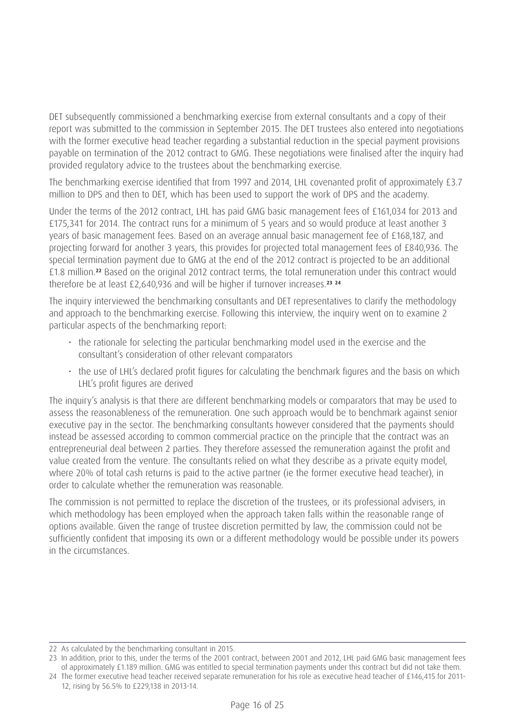DET subsequently commissioned a benchmarking exercise from external consultants and a copy of their report was submitted to the commission in September 2015. The DET trustees also entered into negotiations with the former executive head teacher regarding a substantial reduction in the special payment provisions payable on termination of the 2012 contract to GMG. These negotiations were finalised after the inquiry had provided regulatory advice to the trustees about the benchmarking exercise.

The benchmarking exercise identified that from 1997 and 2014, LHL covenanted profit of approximately £3.7 million to DPS and then to DET, which has been used to support the work of DPS and the academy.

Under the terms of the 2012 contract, LHL has paid GMG basic management fees of £161,034 for 2013 and £175,341 for 2014. The contract runs for a minimum of 5 years and so would produce at least another 3 years of basic management fees. Based on an average annual basic management fee of £168,187, and projecting forward for another 3 years, this provides for projected total management fees of £840,936. The special termination payment due to GMG at the end of the 2012 contract is projected to be an additional £1.8 million.**22** Based on the original 2012 contract terms, the total remuneration under this contract would therefore be at least £2,640,936 and will be higher if turnover increases.**<sup>23</sup> <sup>24</sup>**

The inquiry interviewed the benchmarking consultants and DET representatives to clarify the methodology and approach to the benchmarking exercise. Following this interview, the inquiry went on to examine 2 particular aspects of the benchmarking report:

- the rationale for selecting the particular benchmarking model used in the exercise and the consultant's consideration of other relevant comparators
- the use of LHL's declared profit figures for calculating the benchmark figures and the basis on which LHL's profit figures are derived

The inquiry's analysis is that there are different benchmarking models or comparators that may be used to assess the reasonableness of the remuneration. One such approach would be to benchmark against senior executive pay in the sector. The benchmarking consultants however considered that the payments should instead be assessed according to common commercial practice on the principle that the contract was an entrepreneurial deal between 2 parties. They therefore assessed the remuneration against the profit and value created from the venture. The consultants relied on what they describe as a private equity model, where 20% of total cash returns is paid to the active partner (ie the former executive head teacher), in order to calculate whether the remuneration was reasonable.

The commission is not permitted to replace the discretion of the trustees, or its professional advisers, in which methodology has been employed when the approach taken falls within the reasonable range of options available. Given the range of trustee discretion permitted by law, the commission could not be sufficiently confident that imposing its own or a different methodology would be possible under its powers in the circumstances.

<sup>22</sup> As calculated by the benchmarking consultant in 2015.

<sup>23</sup> In addition, prior to this, under the terms of the 2001 contract, between 2001 and 2012, LHL paid GMG basic management fees of approximately £1.189 million. GMG was entitled to special termination payments under this contract but did not take them.

<sup>24</sup> The former executive head teacher received separate remuneration for his role as executive head teacher of £146,415 for 2011- 12, rising by 56.5% to £229,138 in 2013-14.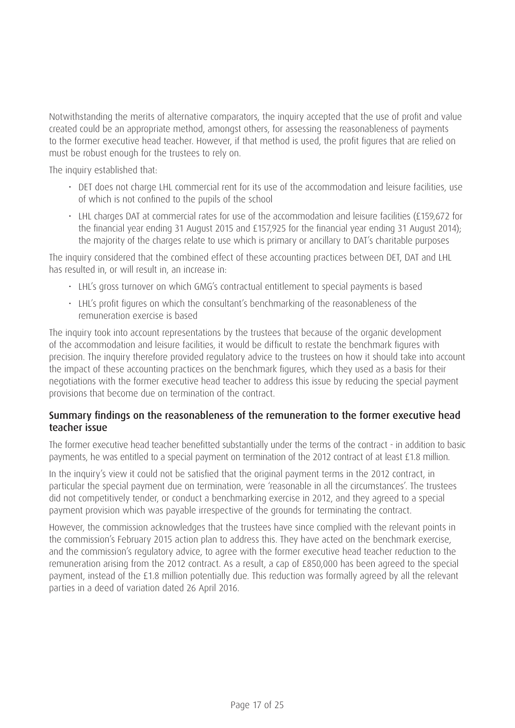Notwithstanding the merits of alternative comparators, the inquiry accepted that the use of profit and value created could be an appropriate method, amongst others, for assessing the reasonableness of payments to the former executive head teacher. However, if that method is used, the profit figures that are relied on must be robust enough for the trustees to rely on.

The inquiry established that:

- DET does not charge LHL commercial rent for its use of the accommodation and leisure facilities, use of which is not confined to the pupils of the school
- LHL charges DAT at commercial rates for use of the accommodation and leisure facilities (£159,672 for the financial year ending 31 August 2015 and £157,925 for the financial year ending 31 August 2014); the majority of the charges relate to use which is primary or ancillary to DAT's charitable purposes

The inquiry considered that the combined effect of these accounting practices between DET, DAT and LHL has resulted in, or will result in, an increase in:

- LHL's gross turnover on which GMG's contractual entitlement to special payments is based
- LHL's profit figures on which the consultant's benchmarking of the reasonableness of the remuneration exercise is based

The inquiry took into account representations by the trustees that because of the organic development of the accommodation and leisure facilities, it would be difficult to restate the benchmark figures with precision. The inquiry therefore provided regulatory advice to the trustees on how it should take into account the impact of these accounting practices on the benchmark figures, which they used as a basis for their negotiations with the former executive head teacher to address this issue by reducing the special payment provisions that become due on termination of the contract.

#### Summary findings on the reasonableness of the remuneration to the former executive head teacher issue

The former executive head teacher benefitted substantially under the terms of the contract - in addition to basic payments, he was entitled to a special payment on termination of the 2012 contract of at least £1.8 million.

In the inquiry's view it could not be satisfied that the original payment terms in the 2012 contract, in particular the special payment due on termination, were 'reasonable in all the circumstances'. The trustees did not competitively tender, or conduct a benchmarking exercise in 2012, and they agreed to a special payment provision which was payable irrespective of the grounds for terminating the contract.

However, the commission acknowledges that the trustees have since complied with the relevant points in the commission's February 2015 action plan to address this. They have acted on the benchmark exercise, and the commission's regulatory advice, to agree with the former executive head teacher reduction to the remuneration arising from the 2012 contract. As a result, a cap of £850,000 has been agreed to the special payment, instead of the £1.8 million potentially due. This reduction was formally agreed by all the relevant parties in a deed of variation dated 26 April 2016.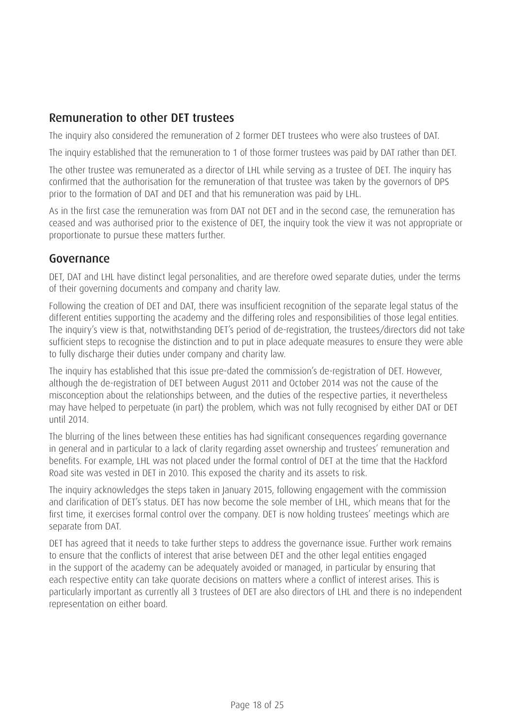### Remuneration to other DET trustees

The inquiry also considered the remuneration of 2 former DET trustees who were also trustees of DAT.

The inquiry established that the remuneration to 1 of those former trustees was paid by DAT rather than DET.

The other trustee was remunerated as a director of LHL while serving as a trustee of DET. The inquiry has confirmed that the authorisation for the remuneration of that trustee was taken by the governors of DPS prior to the formation of DAT and DET and that his remuneration was paid by LHL.

As in the first case the remuneration was from DAT not DET and in the second case, the remuneration has ceased and was authorised prior to the existence of DET, the inquiry took the view it was not appropriate or proportionate to pursue these matters further.

#### Governance

DET, DAT and LHL have distinct legal personalities, and are therefore owed separate duties, under the terms of their governing documents and company and charity law.

Following the creation of DET and DAT, there was insufficient recognition of the separate legal status of the different entities supporting the academy and the differing roles and responsibilities of those legal entities. The inquiry's view is that, notwithstanding DET's period of de-registration, the trustees/directors did not take sufficient steps to recognise the distinction and to put in place adequate measures to ensure they were able to fully discharge their duties under company and charity law.

The inquiry has established that this issue pre-dated the commission's de-registration of DET. However, although the de-registration of DET between August 2011 and October 2014 was not the cause of the misconception about the relationships between, and the duties of the respective parties, it nevertheless may have helped to perpetuate (in part) the problem, which was not fully recognised by either DAT or DET until 2014.

The blurring of the lines between these entities has had significant consequences regarding governance in general and in particular to a lack of clarity regarding asset ownership and trustees' remuneration and benefits. For example, LHL was not placed under the formal control of DET at the time that the Hackford Road site was vested in DET in 2010. This exposed the charity and its assets to risk.

The inquiry acknowledges the steps taken in January 2015, following engagement with the commission and clarification of DET's status. DET has now become the sole member of LHL, which means that for the first time, it exercises formal control over the company. DET is now holding trustees' meetings which are separate from DAT.

DET has agreed that it needs to take further steps to address the governance issue. Further work remains to ensure that the conflicts of interest that arise between DET and the other legal entities engaged in the support of the academy can be adequately avoided or managed, in particular by ensuring that each respective entity can take quorate decisions on matters where a conflict of interest arises. This is particularly important as currently all 3 trustees of DET are also directors of LHL and there is no independent representation on either board.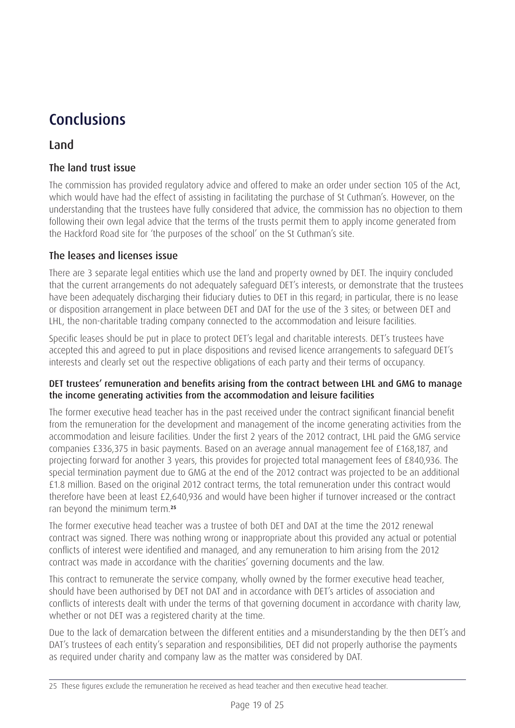## Conclusions

## Land

#### The land trust issue

The commission has provided regulatory advice and offered to make an order under section 105 of the Act, which would have had the effect of assisting in facilitating the purchase of St Cuthman's. However, on the understanding that the trustees have fully considered that advice, the commission has no objection to them following their own legal advice that the terms of the trusts permit them to apply income generated from the Hackford Road site for 'the purposes of the school' on the St Cuthman's site.

#### The leases and licenses issue

There are 3 separate legal entities which use the land and property owned by DET. The inquiry concluded that the current arrangements do not adequately safeguard DET's interests, or demonstrate that the trustees have been adequately discharging their fiduciary duties to DET in this regard; in particular, there is no lease or disposition arrangement in place between DET and DAT for the use of the 3 sites; or between DET and LHL, the non-charitable trading company connected to the accommodation and leisure facilities.

Specific leases should be put in place to protect DET's legal and charitable interests. DET's trustees have accepted this and agreed to put in place dispositions and revised licence arrangements to safeguard DET's interests and clearly set out the respective obligations of each party and their terms of occupancy.

#### DET trustees' remuneration and benefits arising from the contract between LHL and GMG to manage the income generating activities from the accommodation and leisure facilities

The former executive head teacher has in the past received under the contract significant financial benefit from the remuneration for the development and management of the income generating activities from the accommodation and leisure facilities. Under the first 2 years of the 2012 contract, LHL paid the GMG service companies £336,375 in basic payments. Based on an average annual management fee of £168,187, and projecting forward for another 3 years, this provides for projected total management fees of £840,936. The special termination payment due to GMG at the end of the 2012 contract was projected to be an additional £1.8 million. Based on the original 2012 contract terms, the total remuneration under this contract would therefore have been at least £2,640,936 and would have been higher if turnover increased or the contract ran beyond the minimum term.**<sup>25</sup>**

The former executive head teacher was a trustee of both DET and DAT at the time the 2012 renewal contract was signed. There was nothing wrong or inappropriate about this provided any actual or potential conflicts of interest were identified and managed, and any remuneration to him arising from the 2012 contract was made in accordance with the charities' governing documents and the law.

This contract to remunerate the service company, wholly owned by the former executive head teacher, should have been authorised by DET not DAT and in accordance with DET's articles of association and conflicts of interests dealt with under the terms of that governing document in accordance with charity law, whether or not DET was a registered charity at the time.

Due to the lack of demarcation between the different entities and a misunderstanding by the then DET's and DAT's trustees of each entity's separation and responsibilities, DET did not properly authorise the payments as required under charity and company law as the matter was considered by DAT.

<sup>25</sup> These figures exclude the remuneration he received as head teacher and then executive head teacher.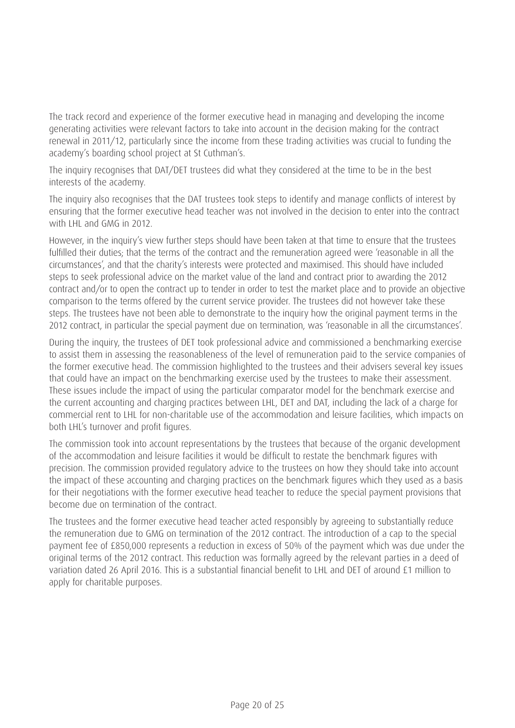The track record and experience of the former executive head in managing and developing the income generating activities were relevant factors to take into account in the decision making for the contract renewal in 2011/12, particularly since the income from these trading activities was crucial to funding the academy's boarding school project at St Cuthman's.

The inquiry recognises that DAT/DET trustees did what they considered at the time to be in the best interests of the academy.

The inquiry also recognises that the DAT trustees took steps to identify and manage conflicts of interest by ensuring that the former executive head teacher was not involved in the decision to enter into the contract with LHL and GMG in 2012.

However, in the inquiry's view further steps should have been taken at that time to ensure that the trustees fulfilled their duties; that the terms of the contract and the remuneration agreed were 'reasonable in all the circumstances', and that the charity's interests were protected and maximised. This should have included steps to seek professional advice on the market value of the land and contract prior to awarding the 2012 contract and/or to open the contract up to tender in order to test the market place and to provide an objective comparison to the terms offered by the current service provider. The trustees did not however take these steps. The trustees have not been able to demonstrate to the inquiry how the original payment terms in the 2012 contract, in particular the special payment due on termination, was 'reasonable in all the circumstances'.

During the inquiry, the trustees of DET took professional advice and commissioned a benchmarking exercise to assist them in assessing the reasonableness of the level of remuneration paid to the service companies of the former executive head. The commission highlighted to the trustees and their advisers several key issues that could have an impact on the benchmarking exercise used by the trustees to make their assessment. These issues include the impact of using the particular comparator model for the benchmark exercise and the current accounting and charging practices between LHL, DET and DAT, including the lack of a charge for commercial rent to LHL for non-charitable use of the accommodation and leisure facilities, which impacts on both LHL's turnover and profit figures.

The commission took into account representations by the trustees that because of the organic development of the accommodation and leisure facilities it would be difficult to restate the benchmark figures with precision. The commission provided regulatory advice to the trustees on how they should take into account the impact of these accounting and charging practices on the benchmark figures which they used as a basis for their negotiations with the former executive head teacher to reduce the special payment provisions that become due on termination of the contract.

The trustees and the former executive head teacher acted responsibly by agreeing to substantially reduce the remuneration due to GMG on termination of the 2012 contract. The introduction of a cap to the special payment fee of £850,000 represents a reduction in excess of 50% of the payment which was due under the original terms of the 2012 contract. This reduction was formally agreed by the relevant parties in a deed of variation dated 26 April 2016. This is a substantial financial benefit to LHL and DET of around £1 million to apply for charitable purposes.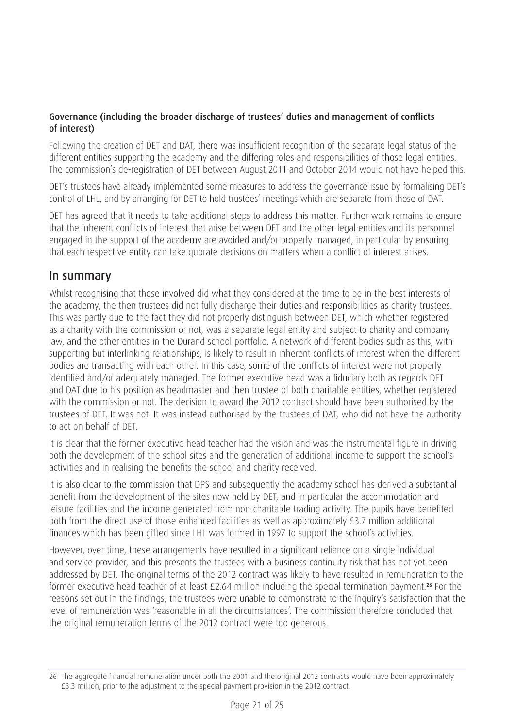#### Governance (including the broader discharge of trustees' duties and management of conflicts of interest)

Following the creation of DET and DAT, there was insufficient recognition of the separate legal status of the different entities supporting the academy and the differing roles and responsibilities of those legal entities. The commission's de-registration of DET between August 2011 and October 2014 would not have helped this.

DET's trustees have already implemented some measures to address the governance issue by formalising DET's control of LHL, and by arranging for DET to hold trustees' meetings which are separate from those of DAT.

DET has agreed that it needs to take additional steps to address this matter. Further work remains to ensure that the inherent conflicts of interest that arise between DET and the other legal entities and its personnel engaged in the support of the academy are avoided and/or properly managed, in particular by ensuring that each respective entity can take quorate decisions on matters when a conflict of interest arises.

#### In summary

Whilst recognising that those involved did what they considered at the time to be in the best interests of the academy, the then trustees did not fully discharge their duties and responsibilities as charity trustees. This was partly due to the fact they did not properly distinguish between DET, which whether registered as a charity with the commission or not, was a separate legal entity and subject to charity and company law, and the other entities in the Durand school portfolio. A network of different bodies such as this, with supporting but interlinking relationships, is likely to result in inherent conflicts of interest when the different bodies are transacting with each other. In this case, some of the conflicts of interest were not properly identified and/or adequately managed. The former executive head was a fiduciary both as regards DET and DAT due to his position as headmaster and then trustee of both charitable entities, whether registered with the commission or not. The decision to award the 2012 contract should have been authorised by the trustees of DET. It was not. It was instead authorised by the trustees of DAT, who did not have the authority to act on behalf of DET.

It is clear that the former executive head teacher had the vision and was the instrumental figure in driving both the development of the school sites and the generation of additional income to support the school's activities and in realising the benefits the school and charity received.

It is also clear to the commission that DPS and subsequently the academy school has derived a substantial benefit from the development of the sites now held by DET, and in particular the accommodation and leisure facilities and the income generated from non-charitable trading activity. The pupils have benefited both from the direct use of those enhanced facilities as well as approximately £3.7 million additional finances which has been gifted since LHL was formed in 1997 to support the school's activities.

However, over time, these arrangements have resulted in a significant reliance on a single individual and service provider, and this presents the trustees with a business continuity risk that has not yet been addressed by DET. The original terms of the 2012 contract was likely to have resulted in remuneration to the former executive head teacher of at least £2.64 million including the special termination payment.**26** For the reasons set out in the findings, the trustees were unable to demonstrate to the inquiry's satisfaction that the level of remuneration was 'reasonable in all the circumstances'. The commission therefore concluded that the original remuneration terms of the 2012 contract were too generous.

<sup>26</sup> The aggregate financial remuneration under both the 2001 and the original 2012 contracts would have been approximately £3.3 million, prior to the adjustment to the special payment provision in the 2012 contract.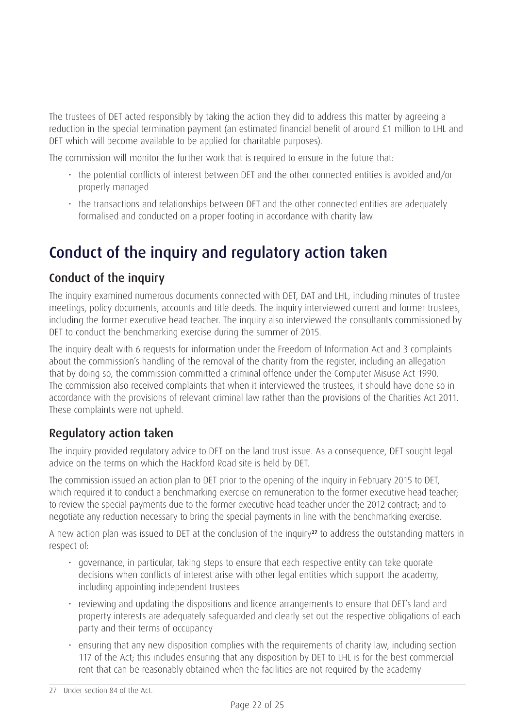The trustees of DET acted responsibly by taking the action they did to address this matter by agreeing a reduction in the special termination payment (an estimated financial benefit of around £1 million to LHL and DET which will become available to be applied for charitable purposes).

The commission will monitor the further work that is required to ensure in the future that:

- the potential conflicts of interest between DET and the other connected entities is avoided and/or properly managed
- the transactions and relationships between DET and the other connected entities are adequately formalised and conducted on a proper footing in accordance with charity law

# Conduct of the inquiry and regulatory action taken

## Conduct of the inquiry

The inquiry examined numerous documents connected with DET, DAT and LHL, including minutes of trustee meetings, policy documents, accounts and title deeds. The inquiry interviewed current and former trustees, including the former executive head teacher. The inquiry also interviewed the consultants commissioned by DET to conduct the benchmarking exercise during the summer of 2015.

The inquiry dealt with 6 requests for information under the Freedom of Information Act and 3 complaints about the commission's handling of the removal of the charity from the register, including an allegation that by doing so, the commission committed a criminal offence under the Computer Misuse Act 1990. The commission also received complaints that when it interviewed the trustees, it should have done so in accordance with the provisions of relevant criminal law rather than the provisions of the Charities Act 2011. These complaints were not upheld.

## Regulatory action taken

The inquiry provided regulatory advice to DET on the land trust issue. As a consequence, DET sought legal advice on the terms on which the Hackford Road site is held by DET.

The commission issued an action plan to DET prior to the opening of the inquiry in February 2015 to DET, which required it to conduct a benchmarking exercise on remuneration to the former executive head teacher; to review the special payments due to the former executive head teacher under the 2012 contract; and to negotiate any reduction necessary to bring the special payments in line with the benchmarking exercise.

A new action plan was issued to DET at the conclusion of the inquiry**27** to address the outstanding matters in respect of:

- governance, in particular, taking steps to ensure that each respective entity can take quorate decisions when conflicts of interest arise with other legal entities which support the academy, including appointing independent trustees
- reviewing and updating the dispositions and licence arrangements to ensure that DET's land and property interests are adequately safeguarded and clearly set out the respective obligations of each party and their terms of occupancy
- ensuring that any new disposition complies with the requirements of charity law, including section 117 of the Act; this includes ensuring that any disposition by DET to LHL is for the best commercial rent that can be reasonably obtained when the facilities are not required by the academy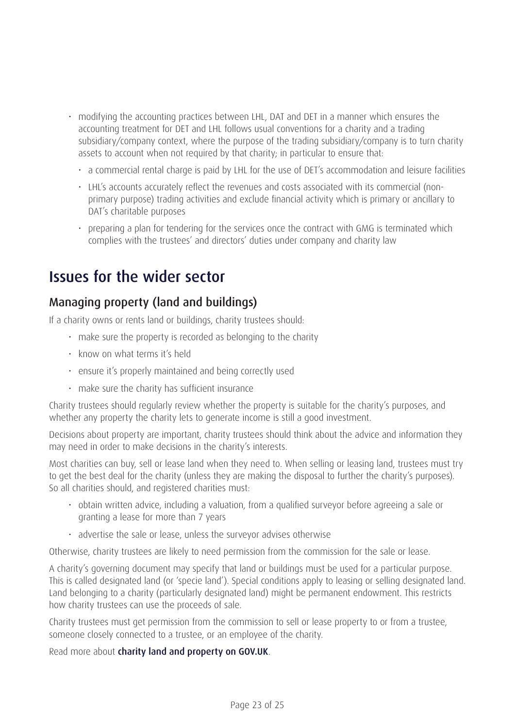- modifying the accounting practices between LHL, DAT and DET in a manner which ensures the accounting treatment for DET and LHL follows usual conventions for a charity and a trading subsidiary/company context, where the purpose of the trading subsidiary/company is to turn charity assets to account when not required by that charity; in particular to ensure that:
	- a commercial rental charge is paid by LHL for the use of DET's accommodation and leisure facilities
	- LHL's accounts accurately reflect the revenues and costs associated with its commercial (nonprimary purpose) trading activities and exclude financial activity which is primary or ancillary to DAT's charitable purposes
	- preparing a plan for tendering for the services once the contract with GMG is terminated which complies with the trustees' and directors' duties under company and charity law

## Issues for the wider sector

### Managing property (land and buildings)

If a charity owns or rents land or buildings, charity trustees should:

- make sure the property is recorded as belonging to the charity
- know on what terms it's held
- ensure it's properly maintained and being correctly used
- make sure the charity has sufficient insurance

Charity trustees should regularly review whether the property is suitable for the charity's purposes, and whether any property the charity lets to generate income is still a good investment.

Decisions about property are important, charity trustees should think about the advice and information they may need in order to make decisions in the charity's interests.

Most charities can buy, sell or lease land when they need to. When selling or leasing land, trustees must try to get the best deal for the charity (unless they are making the disposal to further the charity's purposes). So all charities should, and registered charities must:

- obtain written advice, including a valuation, from a qualified surveyor before agreeing a sale or granting a lease for more than 7 years
- advertise the sale or lease, unless the surveyor advises otherwise

Otherwise, charity trustees are likely to need permission from the commission for the sale or lease.

A charity's governing document may specify that land or buildings must be used for a particular purpose. This is called designated land (or 'specie land'). Special conditions apply to leasing or selling designated land. Land belonging to a charity (particularly designated land) might be permanent endowment. This restricts how charity trustees can use the proceeds of sale.

Charity trustees must get permission from the commission to sell or lease property to or from a trustee, someone closely connected to a trustee, or an employee of the charity.

Read more about [charity land and property](https://www.gov.uk/guidance/charity-land-and-property) on GOV.UK.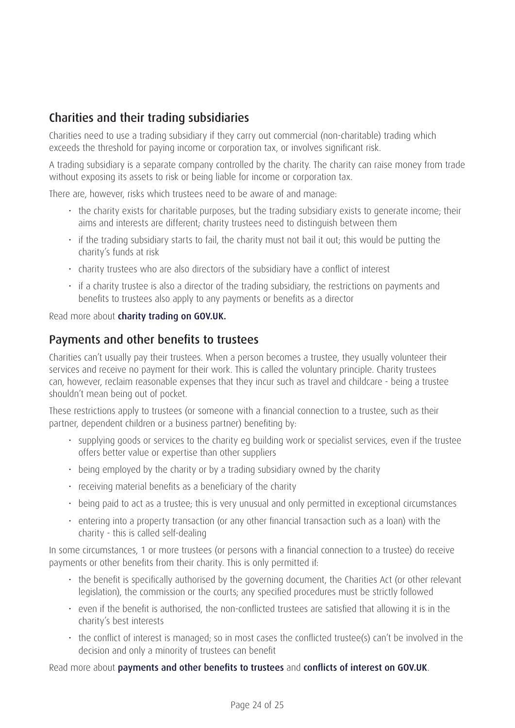## Charities and their trading subsidiaries

Charities need to use a trading subsidiary if they carry out commercial (non-charitable) trading which exceeds the threshold for paying income or corporation tax, or involves significant risk.

A trading subsidiary is a separate company controlled by the charity. The charity can raise money from trade without exposing its assets to risk or being liable for income or corporation tax.

There are, however, risks which trustees need to be aware of and manage:

- the charity exists for charitable purposes, but the trading subsidiary exists to generate income; their aims and interests are different; charity trustees need to distinguish between them
- if the trading subsidiary starts to fail, the charity must not bail it out; this would be putting the charity's funds at risk
- charity trustees who are also directors of the subsidiary have a conflict of interest
- if a charity trustee is also a director of the trading subsidiary, the restrictions on payments and benefits to trustees also apply to any payments or benefits as a director

Read more about [charity trading](https://www.gov.uk/guidance/charity-trading-selling-goods-and-services) on GOV.UK.

### Payments and other benefits to trustees

Charities can't usually pay their trustees. When a person becomes a trustee, they usually volunteer their services and receive no payment for their work. This is called the voluntary principle. Charity trustees can, however, reclaim reasonable expenses that they incur such as travel and childcare - being a trustee shouldn't mean being out of pocket.

These restrictions apply to trustees (or someone with a financial connection to a trustee, such as their partner, dependent children or a business partner) benefiting by:

- supplying goods or services to the charity eg building work or specialist services, even if the trustee offers better value or expertise than other suppliers
- being employed by the charity or by a trading subsidiary owned by the charity
- receiving material benefits as a beneficiary of the charity
- being paid to act as a trustee; this is very unusual and only permitted in exceptional circumstances
- entering into a property transaction (or any other financial transaction such as a loan) with the charity - this is called self-dealing

In some circumstances, 1 or more trustees (or persons with a financial connection to a trustee) do receive payments or other benefits from their charity. This is only permitted if:

- the benefit is specifically authorised by the governing document, the Charities Act (or other relevant legislation), the commission or the courts; any specified procedures must be strictly followed
- even if the benefit is authorised, the non-conflicted trustees are satisfied that allowing it is in the charity's best interests
- the conflict of interest is managed; so in most cases the conflicted trustee(s) can't be involved in the decision and only a minority of trustees can benefit

Read more about [payments and other benefits to trustees](https://www.gov.uk/government/publications/trustee-expenses-and-payments-cc11) and [conflicts of interest](https://www.gov.uk/guidance/manage-a-conflict-of-interest-in-your-charity) on GOV.UK.